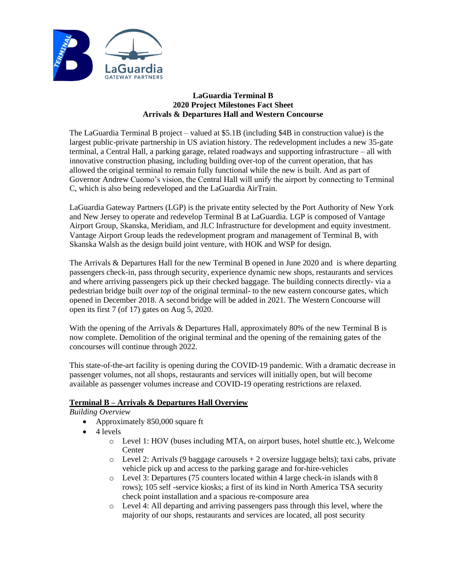

## **LaGuardia Terminal B 2020 Project Milestones Fact Sheet Arrivals & Departures Hall and Western Concourse**

The LaGuardia Terminal B project – valued at \$5.1B (including \$4B in construction value) is the largest public-private partnership in US aviation history. The redevelopment includes a new 35-gate terminal, a Central Hall, a parking garage, related roadways and supporting infrastructure – all with innovative construction phasing, including building over-top of the current operation, that has allowed the original terminal to remain fully functional while the new is built. And as part of Governor Andrew Cuomo's vision, the Central Hall will unify the airport by connecting to Terminal C, which is also being redeveloped and the LaGuardia AirTrain.

LaGuardia Gateway Partners (LGP) is the private entity selected by the Port Authority of New York and New Jersey to operate and redevelop Terminal B at LaGuardia. LGP is composed of Vantage Airport Group, Skanska, Meridiam, and JLC Infrastructure for development and equity investment. Vantage Airport Group leads the redevelopment program and management of Terminal B, with Skanska Walsh as the design build joint venture, with HOK and WSP for design.

The Arrivals & Departures Hall for the new Terminal B opened in June 2020 and is where departing passengers check-in, pass through security, experience dynamic new shops, restaurants and services and where arriving passengers pick up their checked baggage. The building connects directly- via a pedestrian bridge built *over top* of the original terminal- to the new eastern concourse gates, which opened in December 2018. A second bridge will be added in 2021. The Western Concourse will open its first 7 (of 17) gates on Aug 5, 2020.

With the opening of the Arrivals & Departures Hall, approximately 80% of the new Terminal B is now complete. Demolition of the original terminal and the opening of the remaining gates of the concourses will continue through 2022.

This state-of-the-art facility is opening during the COVID-19 pandemic. With a dramatic decrease in passenger volumes, not all shops, restaurants and services will initially open, but will become available as passenger volumes increase and COVID-19 operating restrictions are relaxed.

# **Terminal B – Arrivals & Departures Hall Overview**

- *Building Overview*
	- Approximately 850,000 square ft
	- 4 levels
		- o Level 1: HOV (buses including MTA, on airport buses, hotel shuttle etc.), Welcome Center
		- $\circ$  Level 2: Arrivals (9 baggage carousels  $+2$  oversize luggage belts); taxi cabs, private vehicle pick up and access to the parking garage and for-hire-vehicles
		- o Level 3: Departures (75 counters located within 4 large check-in islands with 8 rows); 105 self -service kiosks; a first of its kind in North America TSA security check point installation and a spacious re-composure area
		- o Level 4: All departing and arriving passengers pass through this level, where the majority of our shops, restaurants and services are located, all post security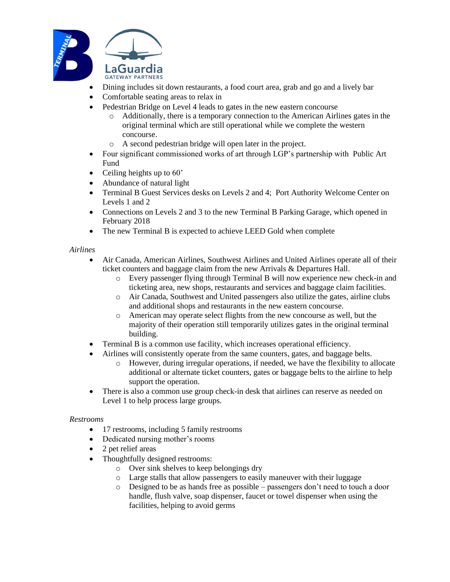

- Dining includes sit down restaurants, a food court area, grab and go and a lively bar
- Comfortable seating areas to relax in
	- Pedestrian Bridge on Level 4 leads to gates in the new eastern concourse
		- o Additionally, there is a temporary connection to the American Airlines gates in the original terminal which are still operational while we complete the western concourse.
		- o A second pedestrian bridge will open later in the project.
- Four significant commissioned works of art through LGP's partnership with Public Art Fund
- Ceiling heights up to 60'
- Abundance of natural light
- Terminal B Guest Services desks on Levels 2 and 4; Port Authority Welcome Center on Levels 1 and 2
- Connections on Levels 2 and 3 to the new Terminal B Parking Garage, which opened in February 2018
- The new Terminal B is expected to achieve LEED Gold when complete

### *Airlines*

- Air Canada, American Airlines, Southwest Airlines and United Airlines operate all of their ticket counters and baggage claim from the new Arrivals & Departures Hall.
	- o Every passenger flying through Terminal B will now experience new check-in and ticketing area, new shops, restaurants and services and baggage claim facilities.
	- o Air Canada, Southwest and United passengers also utilize the gates, airline clubs and additional shops and restaurants in the new eastern concourse.
	- o American may operate select flights from the new concourse as well, but the majority of their operation still temporarily utilizes gates in the original terminal building.
- Terminal B is a common use facility, which increases operational efficiency.
- Airlines will consistently operate from the same counters, gates, and baggage belts.
	- o However, during irregular operations, if needed, we have the flexibility to allocate additional or alternate ticket counters, gates or baggage belts to the airline to help support the operation.
- There is also a common use group check-in desk that airlines can reserve as needed on Level 1 to help process large groups.

## *Restrooms*

- 17 restrooms, including 5 family restrooms
- Dedicated nursing mother's rooms
- 2 pet relief areas
- Thoughtfully designed restrooms:
	- o Over sink shelves to keep belongings dry
	- o Large stalls that allow passengers to easily maneuver with their luggage
	- o Designed to be as hands free as possible passengers don't need to touch a door handle, flush valve, soap dispenser, faucet or towel dispenser when using the facilities, helping to avoid germs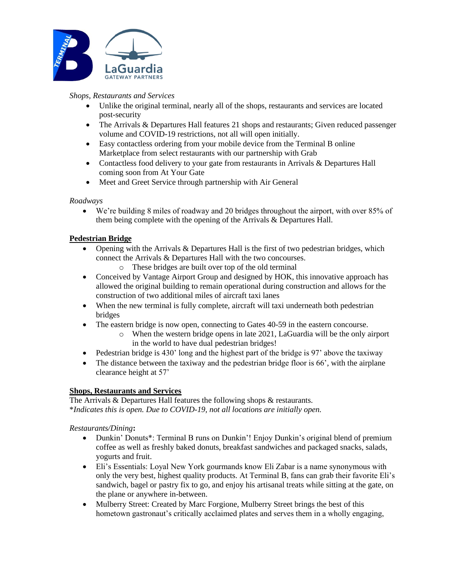

*Shops, Restaurants and Services*

- Unlike the original terminal, nearly all of the shops, restaurants and services are located post-security
- The Arrivals & Departures Hall features 21 shops and restaurants; Given reduced passenger volume and COVID-19 restrictions, not all will open initially.
- Easy contactless ordering from your mobile device from the Terminal B online Marketplace from select restaurants with our partnership with Grab
- Contactless food delivery to your gate from restaurants in Arrivals & Departures Hall coming soon from At Your Gate
- Meet and Greet Service through partnership with Air General

# *Roadways*

• We're building 8 miles of roadway and 20 bridges throughout the airport, with over 85% of them being complete with the opening of the Arrivals & Departures Hall.

## **Pedestrian Bridge**

- Opening with the Arrivals  $\&$  Departures Hall is the first of two pedestrian bridges, which connect the Arrivals & Departures Hall with the two concourses.
	- o These bridges are built over top of the old terminal
- Conceived by Vantage Airport Group and designed by HOK, this innovative approach has allowed the original building to remain operational during construction and allows for the construction of two additional miles of aircraft taxi lanes
- When the new terminal is fully complete, aircraft will taxi underneath both pedestrian bridges
- The eastern bridge is now open, connecting to Gates 40-59 in the eastern concourse.
	- o When the western bridge opens in late 2021, LaGuardia will be the only airport in the world to have dual pedestrian bridges!
- Pedestrian bridge is 430' long and the highest part of the bridge is 97' above the taxiway
- The distance between the taxiway and the pedestrian bridge floor is 66', with the airplane clearance height at 57'

# **Shops, Restaurants and Services**

The Arrivals & Departures Hall features the following shops & restaurants. \**Indicates this is open. Due to COVID-19, not all locations are initially open.*

## *Restaurants/Dining***:**

- Dunkin' Donuts<sup>\*</sup>: Terminal B runs on Dunkin'! Enjoy Dunkin's original blend of premium coffee as well as freshly baked donuts, breakfast sandwiches and packaged snacks, salads, yogurts and fruit.
- Eli's Essentials: Loyal New York gourmands know Eli Zabar is a name synonymous with only the very best, highest quality products. At Terminal B, fans can grab their favorite Eli's sandwich, bagel or pastry fix to go, and enjoy his artisanal treats while sitting at the gate, on the plane or anywhere in-between.
- Mulberry Street: Created by Marc Forgione, Mulberry Street brings the best of this hometown gastronaut's critically acclaimed plates and serves them in a wholly engaging,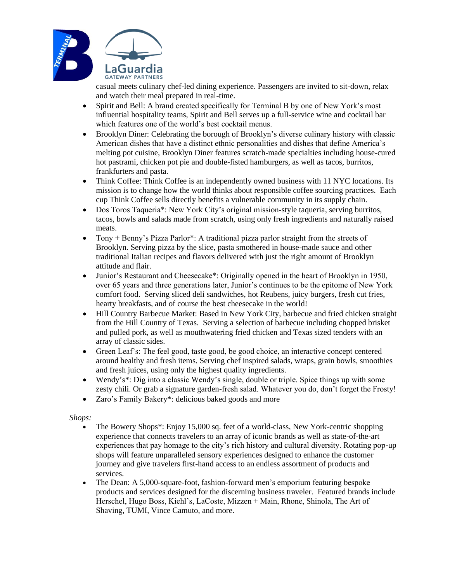

casual meets culinary chef-led dining experience. Passengers are invited to sit-down, relax and watch their meal prepared in real-time.

- Spirit and Bell: A brand created specifically for Terminal B by one of New York's most influential hospitality teams, Spirit and Bell serves up a full-service wine and cocktail bar which features one of the world's best cocktail menus.
- Brooklyn Diner: Celebrating the borough of Brooklyn's diverse culinary history with classic American dishes that have a distinct ethnic personalities and dishes that define America's melting pot cuisine, Brooklyn Diner features scratch-made specialties including house-cured hot pastrami, chicken pot pie and double-fisted hamburgers, as well as tacos, burritos, frankfurters and pasta.
- Think Coffee: Think Coffee is an independently owned business with 11 NYC locations. Its mission is to change how the world thinks about responsible coffee sourcing practices. Each cup Think Coffee sells directly benefits a vulnerable community in its supply chain.
- Dos Toros Taqueria\*: New York City's original mission-style taqueria, serving burritos, tacos, bowls and salads made from scratch, using only fresh ingredients and naturally raised meats.
- Tony + Benny's Pizza Parlor\*: A traditional pizza parlor straight from the streets of Brooklyn. Serving pizza by the slice, pasta smothered in house-made sauce and other traditional Italian recipes and flavors delivered with just the right amount of Brooklyn attitude and flair.
- Junior's Restaurant and Cheesecake<sup>\*</sup>: Originally opened in the heart of Brooklyn in 1950, over 65 years and three generations later, Junior's continues to be the epitome of New York comfort food. Serving sliced deli sandwiches, hot Reubens, juicy burgers, fresh cut fries, hearty breakfasts, and of course the best cheesecake in the world!
- Hill Country Barbecue Market: Based in New York City, barbecue and fried chicken straight from the Hill Country of Texas. Serving a selection of barbecue including chopped brisket and pulled pork, as well as mouthwatering fried chicken and Texas sized tenders with an array of classic sides.
- Green Leaf's: The feel good, taste good, be good choice, an interactive concept centered around healthy and fresh items. Serving chef inspired salads, wraps, grain bowls, smoothies and fresh juices, using only the highest quality ingredients.
- Wendy's\*: Dig into a classic Wendy's single, double or triple. Spice things up with some zesty chili. Or grab a signature garden-fresh salad. Whatever you do, don't forget the Frosty!
- Zaro's Family Bakery\*: delicious baked goods and more

*Shops:*

- The Bowery Shops\*: Enjoy 15,000 sq. feet of a world-class, New York-centric shopping experience that connects travelers to an array of iconic brands as well as state-of-the-art experiences that pay homage to the city's rich history and cultural diversity. Rotating pop-up shops will feature unparalleled sensory experiences designed to enhance the customer journey and give travelers first-hand access to an endless assortment of products and services.
- The Dean: A 5,000-square-foot, fashion-forward men's emporium featuring bespoke products and services designed for the discerning business traveler. Featured brands include Herschel, Hugo Boss, Kiehl's, LaCoste, Mizzen + Main, Rhone, Shinola, The Art of Shaving, TUMI, Vince Camuto, and more.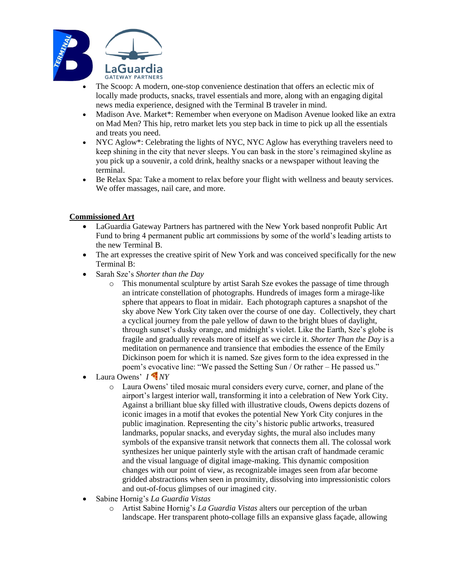

- The Scoop: A modern, one-stop convenience destination that offers an eclectic mix of locally made products, snacks, travel essentials and more, along with an engaging digital news media experience, designed with the Terminal B traveler in mind.
- Madison Ave. Market\*: Remember when everyone on Madison Avenue looked like an extra on Mad Men? This hip, retro market lets you step back in time to pick up all the essentials and treats you need.
- NYC Aglow<sup>\*</sup>: Celebrating the lights of NYC, NYC Aglow has everything travelers need to keep shining in the city that never sleeps. You can bask in the store's reimagined skyline as you pick up a souvenir, a cold drink, healthy snacks or a newspaper without leaving the terminal.
- Be Relax Spa: Take a moment to relax before your flight with wellness and beauty services. We offer massages, nail care, and more.

# **Commissioned Art**

- LaGuardia Gateway Partners has partnered with the New York based nonprofit Public Art Fund to bring 4 permanent public art commissions by some of the world's leading artists to the new Terminal B.
- The art expresses the creative spirit of New York and was conceived specifically for the new Terminal B:
- Sarah Sze's *Shorter than the Day* 
	- o This monumental sculpture by artist Sarah Sze evokes the passage of time through an intricate constellation of photographs. Hundreds of images form a mirage-like sphere that appears to float in midair. Each photograph captures a snapshot of the sky above New York City taken over the course of one day. Collectively, they chart a cyclical journey from the pale yellow of dawn to the bright blues of daylight, through sunset's dusky orange, and midnight's violet. Like the Earth, Sze's globe is fragile and gradually reveals more of itself as we circle it. *Shorter Than the Day* is a meditation on permanence and transience that embodies the essence of the Emily Dickinson poem for which it is named. Sze gives form to the idea expressed in the poem's evocative line: "We passed the Setting Sun / Or rather – He passed us."
- Laura Owens' *I NY*
	- o Laura Owens' tiled mosaic mural considers every curve, corner, and plane of the airport's largest interior wall, transforming it into a celebration of New York City. Against a brilliant blue sky filled with illustrative clouds, Owens depicts dozens of iconic images in a motif that evokes the potential New York City conjures in the public imagination. Representing the city's historic public artworks, treasured landmarks, popular snacks, and everyday sights, the mural also includes many symbols of the expansive transit network that connects them all. The colossal work synthesizes her unique painterly style with the artisan craft of handmade ceramic and the visual language of digital image-making. This dynamic composition changes with our point of view, as recognizable images seen from afar become gridded abstractions when seen in proximity, dissolving into impressionistic colors and out-of-focus glimpses of our imagined city.
- Sabine Hornig's *La Guardia Vistas*
	- o Artist Sabine Hornig's *La Guardia Vistas* alters our perception of the urban landscape. Her transparent photo-collage fills an expansive glass façade, allowing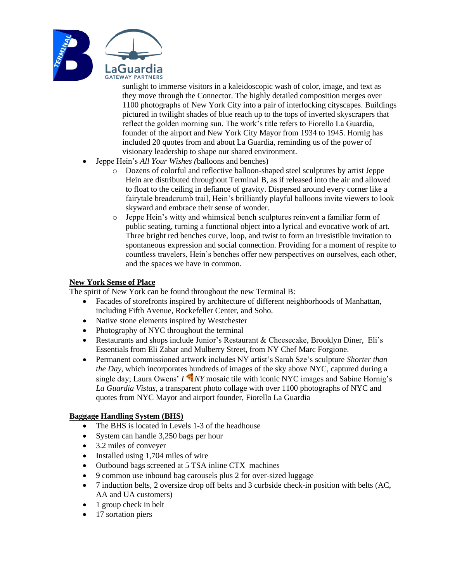

sunlight to immerse visitors in a kaleidoscopic wash of color, image, and text as they move through the Connector. The highly detailed composition merges over 1100 photographs of New York City into a pair of interlocking cityscapes. Buildings pictured in twilight shades of blue reach up to the tops of inverted skyscrapers that reflect the golden morning sun. The work's title refers to Fiorello La Guardia, founder of the airport and New York City Mayor from 1934 to 1945. Hornig has included 20 quotes from and about La Guardia, reminding us of the power of visionary leadership to shape our shared environment.

- Jeppe Hein's *All Your Wishes (*balloons and benches)
	- o Dozens of colorful and reflective balloon-shaped steel sculptures by artist Jeppe Hein are distributed throughout Terminal B, as if released into the air and allowed to float to the ceiling in defiance of gravity. Dispersed around every corner like a fairytale breadcrumb trail, Hein's brilliantly playful balloons invite viewers to look skyward and embrace their sense of wonder.
	- o Jeppe Hein's witty and whimsical bench sculptures reinvent a familiar form of public seating, turning a functional object into a lyrical and evocative work of art. Three bright red benches curve, loop, and twist to form an irresistible invitation to spontaneous expression and social connection. Providing for a moment of respite to countless travelers, Hein's benches offer new perspectives on ourselves, each other, and the spaces we have in common.

## **New York Sense of Place**

The spirit of New York can be found throughout the new Terminal B:

- Facades of storefronts inspired by architecture of different neighborhoods of Manhattan, including Fifth Avenue, Rockefeller Center, and Soho.
- Native stone elements inspired by Westchester
- Photography of NYC throughout the terminal
- Restaurants and shops include Junior's Restaurant & Cheesecake, Brooklyn Diner, Eli's Essentials from Eli Zabar and Mulberry Street, from NY Chef Marc Forgione.
- Permanent commissioned artwork includes NY artist's Sarah Sze's sculpture *Shorter than the Day,* which incorporates hundreds of images of the sky above NYC, captured during a single day; Laura Owens' *I NY* mosaic tile with iconic NYC images and Sabine Hornig's *La Guardia Vistas,* a transparent photo collage with over 1100 photographs of NYC and quotes from NYC Mayor and airport founder, Fiorello La Guardia

# **Baggage Handling System (BHS)**

- The BHS is located in Levels 1-3 of the headhouse
- System can handle 3,250 bags per hour
- 3.2 miles of conveyer
- Installed using 1,704 miles of wire
- Outbound bags screened at 5 TSA inline CTX machines
- 9 common use inbound bag carousels plus 2 for over-sized luggage
- 7 induction belts, 2 oversize drop off belts and 3 curbside check-in position with belts (AC, AA and UA customers)
- 1 group check in belt
- 17 sortation piers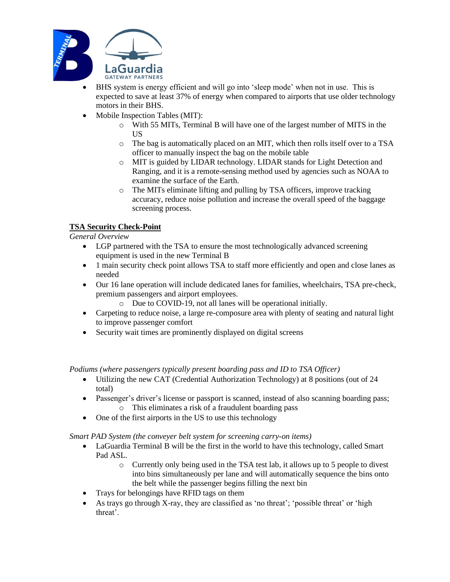

- BHS system is energy efficient and will go into 'sleep mode' when not in use. This is expected to save at least 37% of energy when compared to airports that use older technology motors in their BHS.
- Mobile Inspection Tables (MIT):
	- o With 55 MITs, Terminal B will have one of the largest number of MITS in the US
	- o The bag is automatically placed on an MIT, which then rolls itself over to a TSA officer to manually inspect the bag on the mobile table
	- o MIT is guided by LIDAR technology. LIDAR stands for Light Detection and Ranging, and it is a remote-sensing method used by agencies such as NOAA to examine the surface of the Earth.
	- o The MITs eliminate lifting and pulling by TSA officers, improve tracking accuracy, reduce noise pollution and increase the overall speed of the baggage screening process.

# **TSA Security Check-Point**

## *General Overview*

- LGP partnered with the TSA to ensure the most technologically advanced screening equipment is used in the new Terminal B
- 1 main security check point allows TSA to staff more efficiently and open and close lanes as needed
- Our 16 lane operation will include dedicated lanes for families, wheelchairs, TSA pre-check, premium passengers and airport employees.
	- o Due to COVID-19, not all lanes will be operational initially.
- Carpeting to reduce noise, a large re-composure area with plenty of seating and natural light to improve passenger comfort
- Security wait times are prominently displayed on digital screens

*Podiums (where passengers typically present boarding pass and ID to TSA Officer)*

- Utilizing the new CAT (Credential Authorization Technology) at 8 positions (out of 24 total)
- Passenger's driver's license or passport is scanned, instead of also scanning boarding pass; o This eliminates a risk of a fraudulent boarding pass
- One of the first airports in the US to use this technology

*Smart PAD System (the conveyer belt system for screening carry-on items)*

- LaGuardia Terminal B will be the first in the world to have this technology, called Smart Pad ASL.
	- o Currently only being used in the TSA test lab, it allows up to 5 people to divest into bins simultaneously per lane and will automatically sequence the bins onto the belt while the passenger begins filling the next bin
- Trays for belongings have RFID tags on them
- As trays go through X-ray, they are classified as 'no threat'; 'possible threat' or 'high threat'.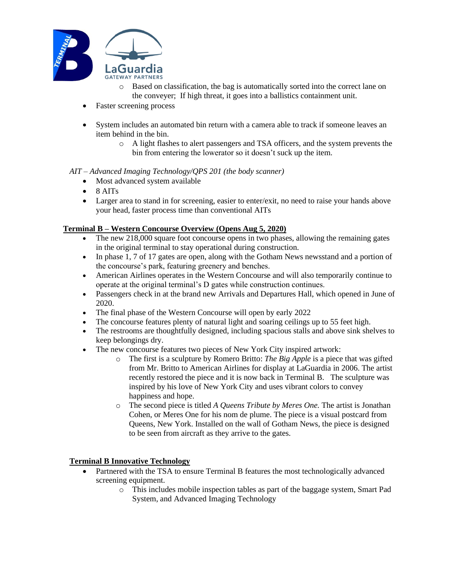

- o Based on classification, the bag is automatically sorted into the correct lane on the conveyer; If high threat, it goes into a ballistics containment unit.
- Faster screening process
- System includes an automated bin return with a camera able to track if someone leaves an item behind in the bin.
	- o A light flashes to alert passengers and TSA officers, and the system prevents the bin from entering the lowerator so it doesn't suck up the item.

## *AIT – Advanced Imaging Technology/QPS 201 (the body scanner)*

- Most advanced system available
- $\bullet$  8 AITs
- Larger area to stand in for screening, easier to enter/exit, no need to raise your hands above your head, faster process time than conventional AITs

## **Terminal B – Western Concourse Overview (Opens Aug 5, 2020)**

- The new 218,000 square foot concourse opens in two phases, allowing the remaining gates in the original terminal to stay operational during construction.
- In phase 1, 7 of 17 gates are open, along with the Gotham News newsstand and a portion of the concourse's park, featuring greenery and benches.
- American Airlines operates in the Western Concourse and will also temporarily continue to operate at the original terminal's D gates while construction continues.
- Passengers check in at the brand new Arrivals and Departures Hall, which opened in June of 2020.
- The final phase of the Western Concourse will open by early 2022
- The concourse features plenty of natural light and soaring ceilings up to 55 feet high.
- The restrooms are thoughtfully designed, including spacious stalls and above sink shelves to keep belongings dry.
- The new concourse features two pieces of New York City inspired artwork:
	- o The first is a sculpture by Romero Britto: *The Big Apple* is a piece that was gifted from Mr. Britto to American Airlines for display at LaGuardia in 2006. The artist recently restored the piece and it is now back in Terminal B. The sculpture was inspired by his love of New York City and uses vibrant colors to convey happiness and hope.
	- o The second piece is titled *A Queens Tribute by Meres One.* The artist is Jonathan Cohen, or Meres One for his nom de plume. The piece is a visual postcard from Queens, New York. Installed on the wall of Gotham News, the piece is designed to be seen from aircraft as they arrive to the gates.

## **Terminal B Innovative Technology**

- Partnered with the TSA to ensure Terminal B features the most technologically advanced screening equipment.
	- o This includes mobile inspection tables as part of the baggage system, Smart Pad System, and Advanced Imaging Technology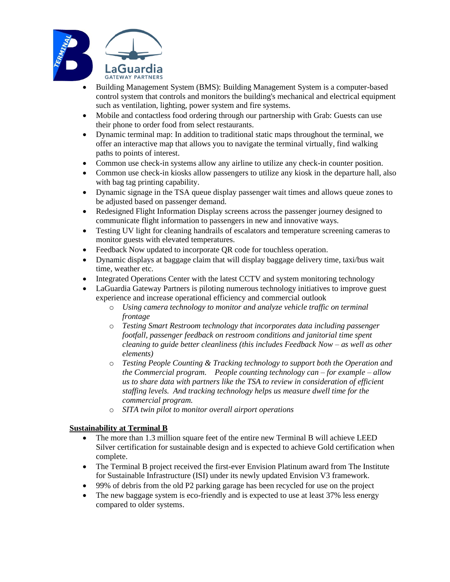

- Building Management System (BMS): Building Management System is a computer-based control system that controls and monitors the building's mechanical and electrical equipment such as ventilation, lighting, power system and fire systems.
- Mobile and contactless food ordering through our partnership with Grab: Guests can use their phone to order food from select restaurants.
- Dynamic terminal map: In addition to traditional static maps throughout the terminal, we offer an interactive map that allows you to navigate the terminal virtually, find walking paths to points of interest.
- Common use check-in systems allow any airline to utilize any check-in counter position.
- Common use check-in kiosks allow passengers to utilize any kiosk in the departure hall, also with bag tag printing capability.
- Dynamic signage in the TSA queue display passenger wait times and allows queue zones to be adjusted based on passenger demand.
- Redesigned Flight Information Display screens across the passenger journey designed to communicate flight information to passengers in new and innovative ways.
- Testing UV light for cleaning handrails of escalators and temperature screening cameras to monitor guests with elevated temperatures.
- Feedback Now updated to incorporate QR code for touchless operation.
- Dynamic displays at baggage claim that will display baggage delivery time, taxi/bus wait time, weather etc.
- Integrated Operations Center with the latest CCTV and system monitoring technology
- LaGuardia Gateway Partners is piloting numerous technology initiatives to improve guest experience and increase operational efficiency and commercial outlook
	- o *Using camera technology to monitor and analyze vehicle traffic on terminal frontage*
	- o *Testing Smart Restroom technology that incorporates data including passenger footfall, passenger feedback on restroom conditions and janitorial time spent cleaning to guide better cleanliness (this includes Feedback Now – as well as other elements)*
	- o *Testing People Counting & Tracking technology to support both the Operation and the Commercial program. People counting technology can – for example – allow us to share data with partners like the TSA to review in consideration of efficient staffing levels. And tracking technology helps us measure dwell time for the commercial program.*
	- o *SITA twin pilot to monitor overall airport operations*

# **Sustainability at Terminal B**

- The more than 1.3 million square feet of the entire new Terminal B will achieve LEED Silver certification for sustainable design and is expected to achieve Gold certification when complete.
- The Terminal B project received the first-ever Envision Platinum award from The Institute for Sustainable Infrastructure (ISI) under its newly updated Envision V3 framework.
- 99% of debris from the old P2 parking garage has been recycled for use on the project
- The new baggage system is eco-friendly and is expected to use at least 37% less energy compared to older systems.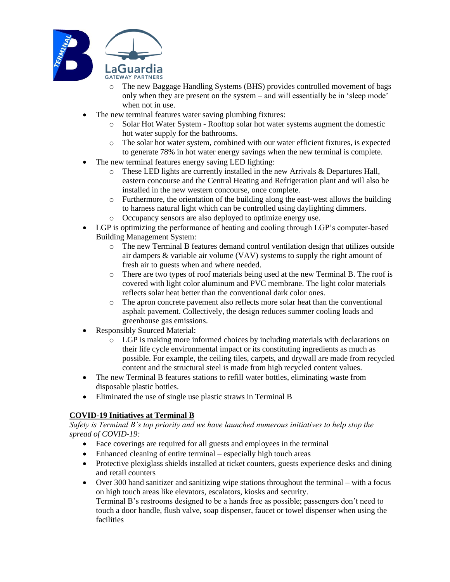

- o The new Baggage Handling Systems (BHS) provides controlled movement of bags only when they are present on the system – and will essentially be in 'sleep mode' when not in use.
- The new terminal features water saving plumbing fixtures:
	- o Solar Hot Water System Rooftop solar hot water systems augment the domestic hot water supply for the bathrooms.
	- o The solar hot water system, combined with our water efficient fixtures, is expected to generate 78% in hot water energy savings when the new terminal is complete.
- The new terminal features energy saving LED lighting:
	- o These LED lights are currently installed in the new Arrivals & Departures Hall, eastern concourse and the Central Heating and Refrigeration plant and will also be installed in the new western concourse, once complete.
	- o Furthermore, the orientation of the building along the east-west allows the building to harness natural light which can be controlled using daylighting dimmers.
	- o Occupancy sensors are also deployed to optimize energy use.
- LGP is optimizing the performance of heating and cooling through LGP's computer-based Building Management System:
	- o The new Terminal B features demand control ventilation design that utilizes outside air dampers & variable air volume (VAV) systems to supply the right amount of fresh air to guests when and where needed.
	- o There are two types of roof materials being used at the new Terminal B. The roof is covered with light color aluminum and PVC membrane. The light color materials reflects solar heat better than the conventional dark color ones.
	- o The apron concrete pavement also reflects more solar heat than the conventional asphalt pavement. Collectively, the design reduces summer cooling loads and greenhouse gas emissions.
- Responsibly Sourced Material:
	- o LGP is making more informed choices by including materials with declarations on their life cycle environmental impact or its constituting ingredients as much as possible. For example, the ceiling tiles, carpets, and drywall are made from recycled content and the structural steel is made from high recycled content values.
- The new Terminal B features stations to refill water bottles, eliminating waste from disposable plastic bottles.
- Eliminated the use of single use plastic straws in Terminal B

# **COVID-19 Initiatives at Terminal B**

*Safety is Terminal B's top priority and we have launched numerous initiatives to help stop the spread of COVID-19:*

- Face coverings are required for all guests and employees in the terminal
- Enhanced cleaning of entire terminal especially high touch areas
- Protective plexiglass shields installed at ticket counters, guests experience desks and dining and retail counters
- Over 300 hand sanitizer and sanitizing wipe stations throughout the terminal with a focus on high touch areas like elevators, escalators, kiosks and security. Terminal B's restrooms designed to be a hands free as possible; passengers don't need to touch a door handle, flush valve, soap dispenser, faucet or towel dispenser when using the facilities